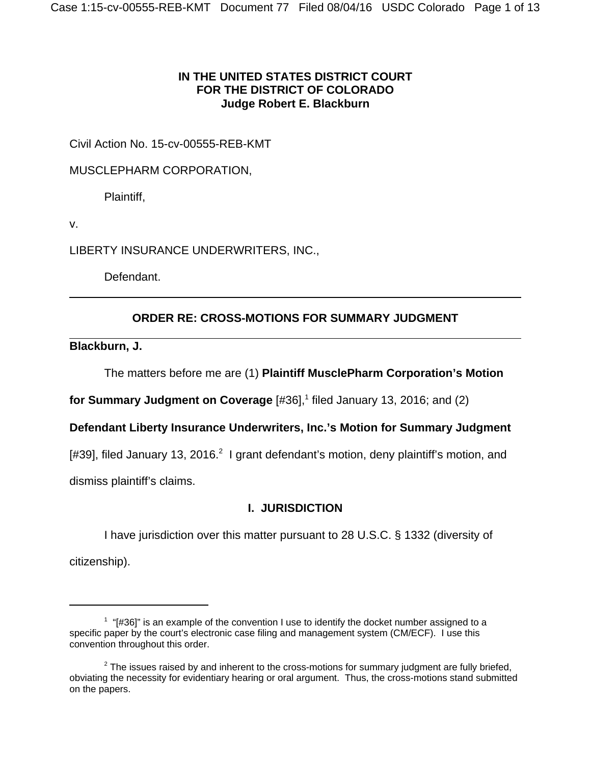## **IN THE UNITED STATES DISTRICT COURT FOR THE DISTRICT OF COLORADO Judge Robert E. Blackburn**

Civil Action No. 15-cv-00555-REB-KMT

MUSCLEPHARM CORPORATION,

Plaintiff,

v.

LIBERTY INSURANCE UNDERWRITERS, INC.,

Defendant.

# **ORDER RE: CROSS-MOTIONS FOR SUMMARY JUDGMENT**

**Blackburn, J.**

The matters before me are (1) **Plaintiff MusclePharm Corporation's Motion**

for Summary Judgment on Coverage [#36],<sup>1</sup> filed January 13, 2016; and (2)

**Defendant Liberty Insurance Underwriters, Inc.'s Motion for Summary Judgment**

[#39], filed January 13, 2016.<sup>2</sup> I grant defendant's motion, deny plaintiff's motion, and

dismiss plaintiff's claims.

# **I. JURISDICTION**

I have jurisdiction over this matter pursuant to 28 U.S.C. § 1332 (diversity of

citizenship).

 $1$  "[#36]" is an example of the convention I use to identify the docket number assigned to a specific paper by the court's electronic case filing and management system (CM/ECF). I use this convention throughout this order.

 $2$  The issues raised by and inherent to the cross-motions for summary judgment are fully briefed, obviating the necessity for evidentiary hearing or oral argument. Thus, the cross-motions stand submitted on the papers.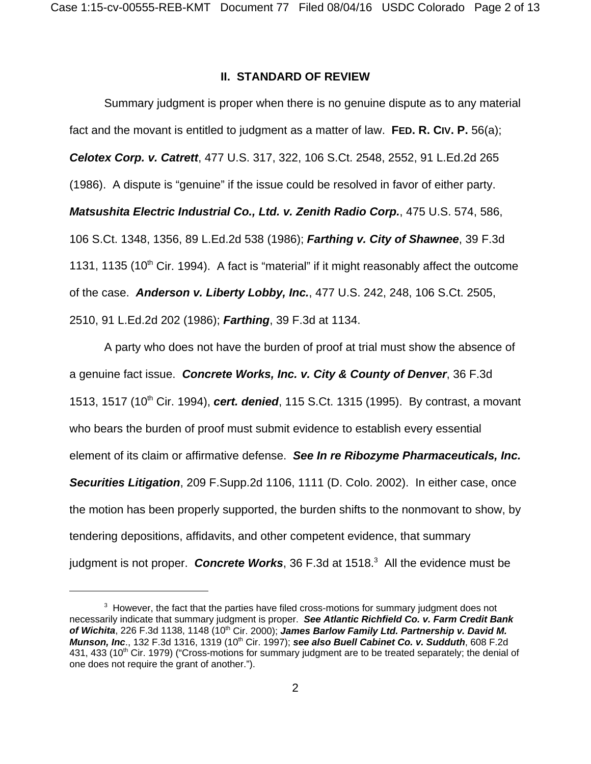#### **II. STANDARD OF REVIEW**

Summary judgment is proper when there is no genuine dispute as to any material fact and the movant is entitled to judgment as a matter of law. **FED. R. CIV. P.** 56(a); *Celotex Corp. v. Catrett*, 477 U.S. 317, 322, 106 S.Ct. 2548, 2552, 91 L.Ed.2d 265 (1986). A dispute is "genuine" if the issue could be resolved in favor of either party. *Matsushita Electric Industrial Co., Ltd. v. Zenith Radio Corp.*, 475 U.S. 574, 586, 106 S.Ct. 1348, 1356, 89 L.Ed.2d 538 (1986); *Farthing v. City of Shawnee*, 39 F.3d 1131, 1135 (10<sup>th</sup> Cir. 1994). A fact is "material" if it might reasonably affect the outcome of the case. *Anderson v. Liberty Lobby, Inc.*, 477 U.S. 242, 248, 106 S.Ct. 2505, 2510, 91 L.Ed.2d 202 (1986); *Farthing*, 39 F.3d at 1134.

A party who does not have the burden of proof at trial must show the absence of a genuine fact issue. *Concrete Works, Inc. v. City & County of Denver*, 36 F.3d 1513, 1517 (10<sup>th</sup> Cir. 1994), **cert. denied**, 115 S.Ct. 1315 (1995). By contrast, a movant who bears the burden of proof must submit evidence to establish every essential element of its claim or affirmative defense. *See In re Ribozyme Pharmaceuticals, Inc. Securities Litigation*, 209 F.Supp.2d 1106, 1111 (D. Colo. 2002). In either case, once the motion has been properly supported, the burden shifts to the nonmovant to show, by tendering depositions, affidavits, and other competent evidence, that summary judgment is not proper. Concrete Works, 36 F.3d at 1518.<sup>3</sup> All the evidence must be

 $3$  However, the fact that the parties have filed cross-motions for summary judgment does not necessarily indicate that summary judgment is proper. *See Atlantic Richfield Co. v. Farm Credit Bank* of Wichita, 226 F.3d 1138, 1148 (10<sup>th</sup> Cir. 2000); James Barlow Family Ltd. Partnership v. David M. *Munson, Inc.*, 132 F.3d 1316, 1319 (10<sup>th</sup> Cir. 1997); see also Buell Cabinet Co. v. Sudduth, 608 F.2d 431, 433 (10<sup>th</sup> Cir. 1979) ("Cross-motions for summary judgment are to be treated separately; the denial of one does not require the grant of another.").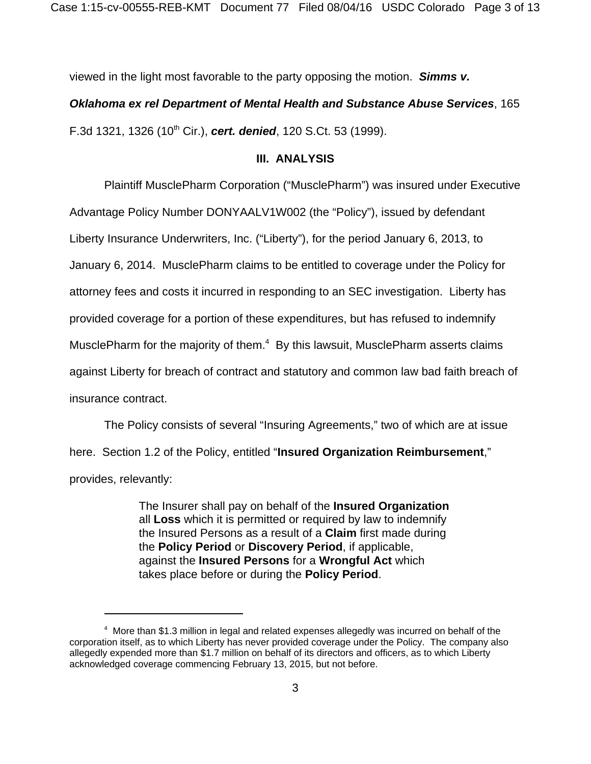Case 1:15-cv-00555-REB-KMT Document 77 Filed 08/04/16 USDC Colorado Page 3 of 13

viewed in the light most favorable to the party opposing the motion. *Simms v.*

## *Oklahoma ex rel Department of Mental Health and Substance Abuse Services*, 165

F.3d 1321, 1326 (10<sup>th</sup> Cir.), **cert. denied**, 120 S.Ct. 53 (1999).

### **III. ANALYSIS**

Plaintiff MusclePharm Corporation ("MusclePharm") was insured under Executive Advantage Policy Number DONYAALV1W002 (the "Policy"), issued by defendant Liberty Insurance Underwriters, Inc. ("Liberty"), for the period January 6, 2013, to January 6, 2014. MusclePharm claims to be entitled to coverage under the Policy for attorney fees and costs it incurred in responding to an SEC investigation. Liberty has provided coverage for a portion of these expenditures, but has refused to indemnify MusclePharm for the majority of them.<sup>4</sup> By this lawsuit, MusclePharm asserts claims against Liberty for breach of contract and statutory and common law bad faith breach of insurance contract.

The Policy consists of several "Insuring Agreements," two of which are at issue here. Section 1.2 of the Policy, entitled "**Insured Organization Reimbursement**," provides, relevantly:

> The Insurer shall pay on behalf of the **Insured Organization** all **Loss** which it is permitted or required by law to indemnify the Insured Persons as a result of a **Claim** first made during the **Policy Period** or **Discovery Period**, if applicable, against the **Insured Persons** for a **Wrongful Act** which takes place before or during the **Policy Period**.

 $4\,$  More than \$1.3 million in legal and related expenses allegedly was incurred on behalf of the corporation itself, as to which Liberty has never provided coverage under the Policy. The company also allegedly expended more than \$1.7 million on behalf of its directors and officers, as to which Liberty acknowledged coverage commencing February 13, 2015, but not before.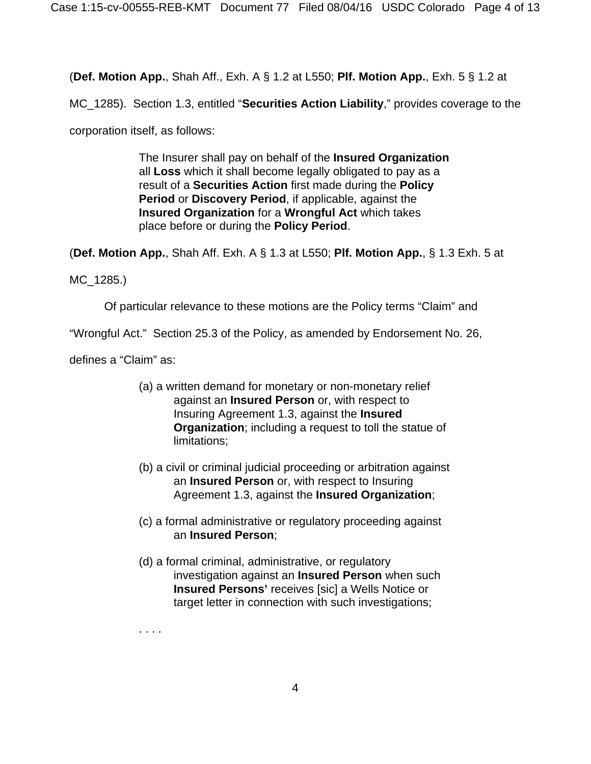(**Def. Motion App.**, Shah Aff., Exh. A § 1.2 at L550; **Plf. Motion App.**, Exh. 5 § 1.2 at

MC\_1285). Section 1.3, entitled "**Securities Action Liability**," provides coverage to the

corporation itself, as follows:

The Insurer shall pay on behalf of the **Insured Organization** all **Loss** which it shall become legally obligated to pay as a result of a **Securities Action** first made during the **Policy Period** or **Discovery Period**, if applicable, against the **Insured Organization** for a **Wrongful Act** which takes place before or during the **Policy Period**.

(**Def. Motion App.**, Shah Aff. Exh. A § 1.3 at L550; **Plf. Motion App.**, § 1.3 Exh. 5 at

MC\_1285.)

Of particular relevance to these motions are the Policy terms "Claim" and

"Wrongful Act." Section 25.3 of the Policy, as amended by Endorsement No. 26,

defines a "Claim" as:

- (a) a written demand for monetary or non-monetary relief against an **Insured Person** or, with respect to Insuring Agreement 1.3, against the **Insured Organization**; including a request to toll the statue of limitations;
- (b) a civil or criminal judicial proceeding or arbitration against an **Insured Person** or, with respect to Insuring Agreement 1.3, against the **Insured Organization**;
- (c) a formal administrative or regulatory proceeding against an **Insured Person**;
- (d) a formal criminal, administrative, or regulatory investigation against an **Insured Person** when such **Insured Persons'** receives [sic] a Wells Notice or target letter in connection with such investigations;

. . . .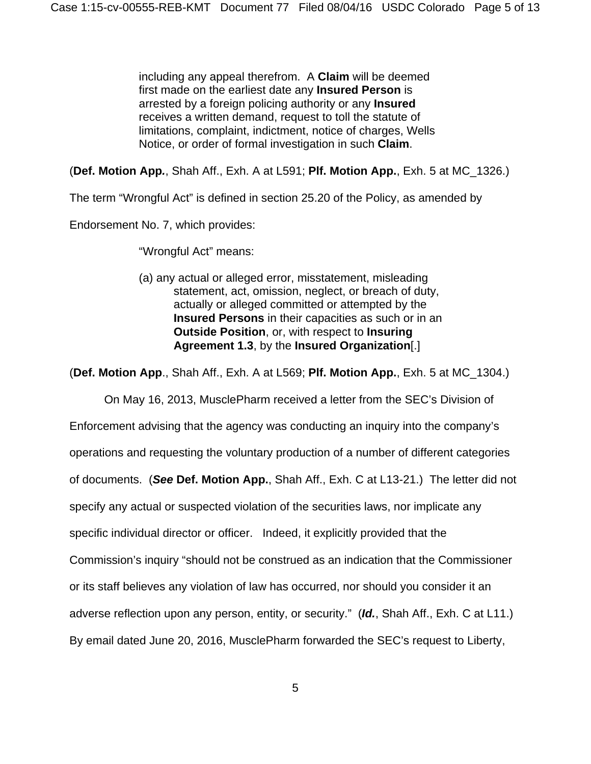including any appeal therefrom. A **Claim** will be deemed first made on the earliest date any **Insured Person** is arrested by a foreign policing authority or any **Insured** receives a written demand, request to toll the statute of limitations, complaint, indictment, notice of charges, Wells Notice, or order of formal investigation in such **Claim**.

(**Def. Motion App***.*, Shah Aff., Exh. A at L591; **Plf. Motion App.**, Exh. 5 at MC\_1326.)

The term "Wrongful Act" is defined in section 25.20 of the Policy, as amended by

Endorsement No. 7, which provides:

"Wrongful Act" means:

(a) any actual or alleged error, misstatement, misleading statement, act, omission, neglect, or breach of duty, actually or alleged committed or attempted by the **Insured Persons** in their capacities as such or in an **Outside Position**, or, with respect to **Insuring Agreement 1.3**, by the **Insured Organization**[.]

(**Def. Motion App**., Shah Aff., Exh. A at L569; **Plf. Motion App.**, Exh. 5 at MC\_1304.)

On May 16, 2013, MusclePharm received a letter from the SEC's Division of Enforcement advising that the agency was conducting an inquiry into the company's operations and requesting the voluntary production of a number of different categories of documents. (*See* **Def. Motion App.**, Shah Aff., Exh. C at L13-21.) The letter did not specify any actual or suspected violation of the securities laws, nor implicate any specific individual director or officer. Indeed, it explicitly provided that the Commission's inquiry "should not be construed as an indication that the Commissioner or its staff believes any violation of law has occurred, nor should you consider it an adverse reflection upon any person, entity, or security." (*Id.*, Shah Aff., Exh. C at L11.) By email dated June 20, 2016, MusclePharm forwarded the SEC's request to Liberty,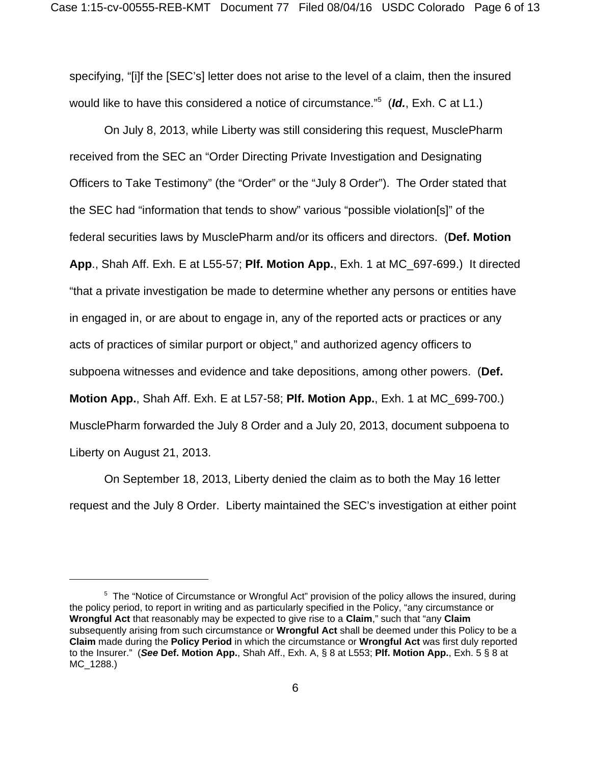specifying, "[i]f the [SEC's] letter does not arise to the level of a claim, then the insured would like to have this considered a notice of circumstance."<sup>5</sup> (*Id.*, Exh. C at L1.)

On July 8, 2013, while Liberty was still considering this request, MusclePharm received from the SEC an "Order Directing Private Investigation and Designating Officers to Take Testimony" (the "Order" or the "July 8 Order"). The Order stated that the SEC had "information that tends to show" various "possible violation[s]" of the federal securities laws by MusclePharm and/or its officers and directors. (**Def. Motion App**., Shah Aff. Exh. E at L55-57; **Plf. Motion App.**, Exh. 1 at MC\_697-699.) It directed "that a private investigation be made to determine whether any persons or entities have in engaged in, or are about to engage in, any of the reported acts or practices or any acts of practices of similar purport or object," and authorized agency officers to subpoena witnesses and evidence and take depositions, among other powers. (**Def. Motion App.**, Shah Aff. Exh. E at L57-58; **Plf. Motion App.**, Exh. 1 at MC\_699-700.) MusclePharm forwarded the July 8 Order and a July 20, 2013, document subpoena to Liberty on August 21, 2013.

On September 18, 2013, Liberty denied the claim as to both the May 16 letter request and the July 8 Order. Liberty maintained the SEC's investigation at either point

<sup>&</sup>lt;sup>5</sup> The "Notice of Circumstance or Wrongful Act" provision of the policy allows the insured, during the policy period, to report in writing and as particularly specified in the Policy, "any circumstance or **Wrongful Act** that reasonably may be expected to give rise to a **Claim**," such that "any **Claim** subsequently arising from such circumstance or **Wrongful Act** shall be deemed under this Policy to be a **Claim** made during the **Policy Period** in which the circumstance or **Wrongful Act** was first duly reported to the Insurer." (*See* **Def. Motion App.**, Shah Aff., Exh. A, § 8 at L553; **Plf. Motion App.**, Exh. 5 § 8 at MC\_1288.)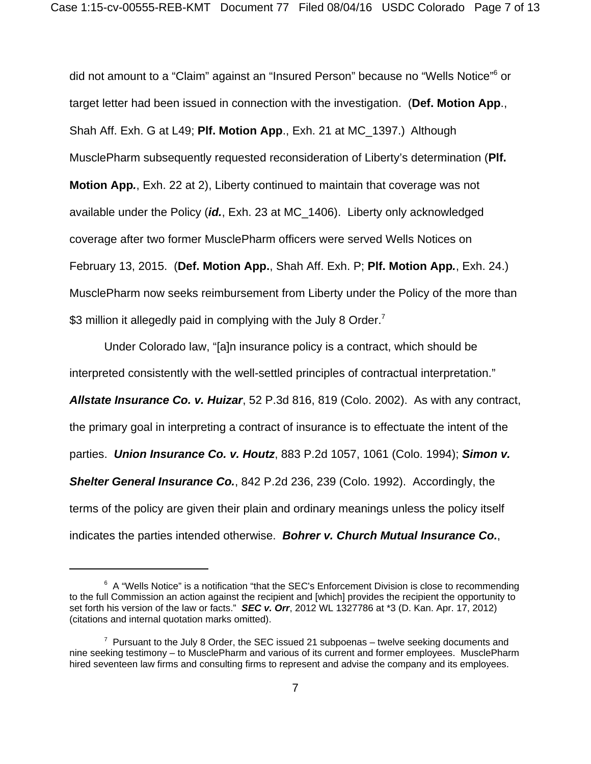did not amount to a "Claim" against an "Insured Person" because no "Wells Notice"<sup>6</sup> or target letter had been issued in connection with the investigation. (**Def. Motion App**., Shah Aff. Exh. G at L49; **Plf. Motion App**., Exh. 21 at MC\_1397.) Although MusclePharm subsequently requested reconsideration of Liberty's determination (**Plf. Motion App***.*, Exh. 22 at 2), Liberty continued to maintain that coverage was not available under the Policy (*id.*, Exh. 23 at MC\_1406). Liberty only acknowledged coverage after two former MusclePharm officers were served Wells Notices on February 13, 2015. (**Def. Motion App.**, Shah Aff. Exh. P; **Plf. Motion App***.*, Exh. 24.) MusclePharm now seeks reimbursement from Liberty under the Policy of the more than \$3 million it allegedly paid in complying with the July 8 Order.<sup>7</sup>

Under Colorado law, "[a]n insurance policy is a contract, which should be interpreted consistently with the well-settled principles of contractual interpretation." *Allstate Insurance Co. v. Huizar*, 52 P.3d 816, 819 (Colo. 2002). As with any contract, the primary goal in interpreting a contract of insurance is to effectuate the intent of the parties. *Union Insurance Co. v. Houtz*, 883 P.2d 1057, 1061 (Colo. 1994); *Simon v. Shelter General Insurance Co.*, 842 P.2d 236, 239 (Colo. 1992). Accordingly, the terms of the policy are given their plain and ordinary meanings unless the policy itself indicates the parties intended otherwise. *Bohrer v. Church Mutual Insurance Co.*,

 $6$  A "Wells Notice" is a notification "that the SEC's Enforcement Division is close to recommending to the full Commission an action against the recipient and [which] provides the recipient the opportunity to set forth his version of the law or facts." *SEC v. Orr*, 2012 WL 1327786 at \*3 (D. Kan. Apr. 17, 2012) (citations and internal quotation marks omitted).

 $7$  Pursuant to the July 8 Order, the SEC issued 21 subpoenas  $-$  twelve seeking documents and nine seeking testimony – to MusclePharm and various of its current and former employees. MusclePharm hired seventeen law firms and consulting firms to represent and advise the company and its employees.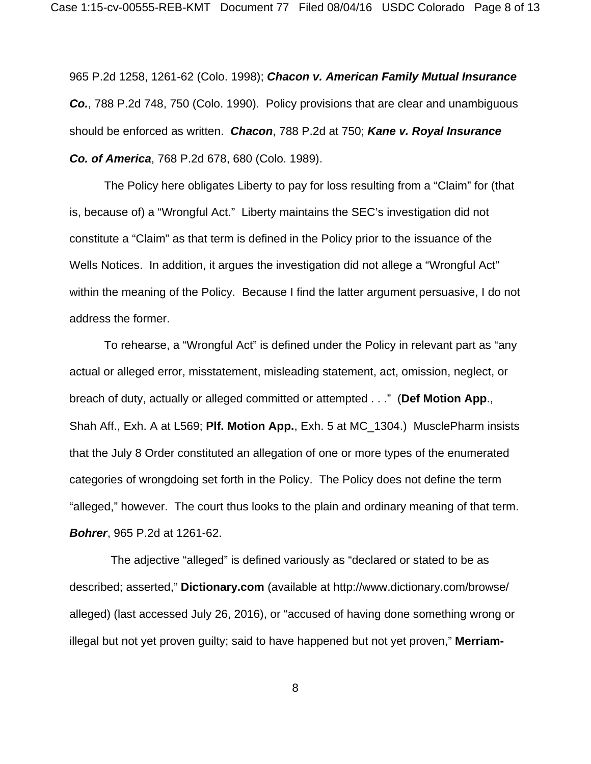965 P.2d 1258, 1261-62 (Colo. 1998); *Chacon v. American Family Mutual Insurance Co.*, 788 P.2d 748, 750 (Colo. 1990). Policy provisions that are clear and unambiguous should be enforced as written. *Chacon*, 788 P.2d at 750; *Kane v. Royal Insurance Co. of America*, 768 P.2d 678, 680 (Colo. 1989).

The Policy here obligates Liberty to pay for loss resulting from a "Claim" for (that is, because of) a "Wrongful Act." Liberty maintains the SEC's investigation did not constitute a "Claim" as that term is defined in the Policy prior to the issuance of the Wells Notices. In addition, it argues the investigation did not allege a "Wrongful Act" within the meaning of the Policy. Because I find the latter argument persuasive, I do not address the former.

To rehearse, a "Wrongful Act" is defined under the Policy in relevant part as "any actual or alleged error, misstatement, misleading statement, act, omission, neglect, or breach of duty, actually or alleged committed or attempted . . ." (**Def Motion App**., Shah Aff., Exh. A at L569; **Plf. Motion App.**, Exh. 5 at MC\_1304.) MusclePharm insists that the July 8 Order constituted an allegation of one or more types of the enumerated categories of wrongdoing set forth in the Policy. The Policy does not define the term "alleged," however. The court thus looks to the plain and ordinary meaning of that term. *Bohrer*, 965 P.2d at 1261-62.

 The adjective "alleged" is defined variously as "declared or stated to be as described; asserted," **Dictionary.com** (available at http://www.dictionary.com/browse/ alleged) (last accessed July 26, 2016), or "accused of having done something wrong or illegal but not yet proven guilty; said to have happened but not yet proven," **Merriam-**

8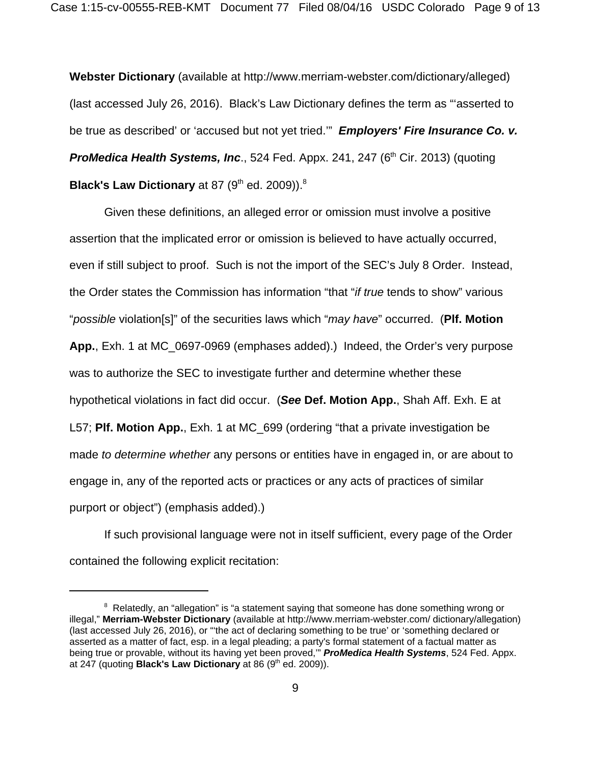**Webster Dictionary** (available at http://www.merriam-webster.com/dictionary/alleged) (last accessed July 26, 2016). Black's Law Dictionary defines the term as "'asserted to be true as described' or 'accused but not yet tried.'" *Employers' Fire Insurance Co. v.* **ProMedica Health Systems, Inc.**, 524 Fed. Appx. 241, 247 (6<sup>th</sup> Cir. 2013) (quoting **Black's Law Dictionary** at 87 (9<sup>th</sup> ed. 2009)).<sup>8</sup>

Given these definitions, an alleged error or omission must involve a positive assertion that the implicated error or omission is believed to have actually occurred, even if still subject to proof. Such is not the import of the SEC's July 8 Order. Instead, the Order states the Commission has information "that "*if true* tends to show" various "*possible* violation[s]" of the securities laws which "*may have*" occurred. (**Plf. Motion App.**, Exh. 1 at MC\_0697-0969 (emphases added).) Indeed, the Order's very purpose was to authorize the SEC to investigate further and determine whether these hypothetical violations in fact did occur. (*See* **Def. Motion App.**, Shah Aff. Exh. E at L57; **Plf. Motion App.**, Exh. 1 at MC\_699 (ordering "that a private investigation be made *to determine whether* any persons or entities have in engaged in, or are about to engage in, any of the reported acts or practices or any acts of practices of similar purport or object") (emphasis added).)

If such provisional language were not in itself sufficient, every page of the Order contained the following explicit recitation:

<sup>&</sup>lt;sup>8</sup> Relatedly, an "allegation" is "a statement saying that someone has done something wrong or illegal," **Merriam-Webster Dictionary** (available at http://www.merriam-webster.com/ dictionary/allegation) (last accessed July 26, 2016), or "'the act of declaring something to be true' or 'something declared or asserted as a matter of fact, esp. in a legal pleading; a party's formal statement of a factual matter as being true or provable, without its having yet been proved,'" *ProMedica Health Systems*, 524 Fed. Appx. at 247 (quoting **Black's Law Dictionary** at 86 (9<sup>th</sup> ed. 2009)).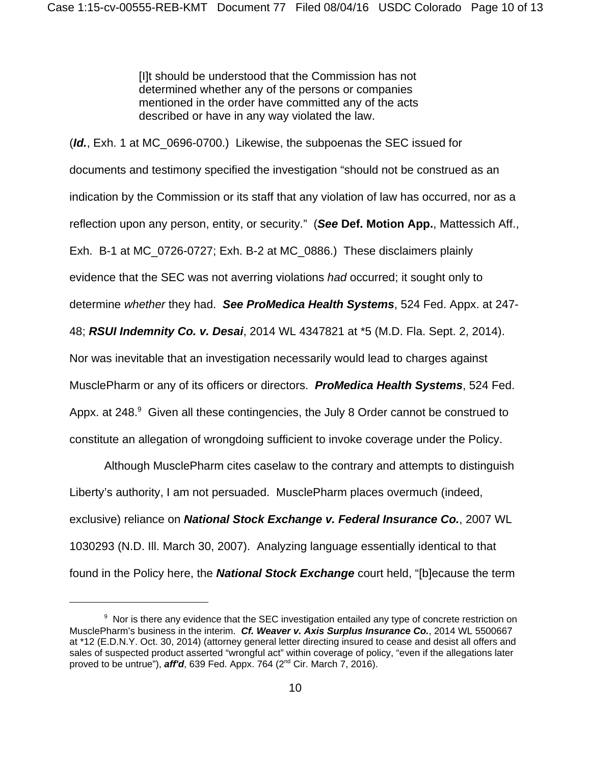[I]t should be understood that the Commission has not determined whether any of the persons or companies mentioned in the order have committed any of the acts described or have in any way violated the law.

(*Id.*, Exh. 1 at MC\_0696-0700.) Likewise, the subpoenas the SEC issued for documents and testimony specified the investigation "should not be construed as an indication by the Commission or its staff that any violation of law has occurred, nor as a reflection upon any person, entity, or security." (*See* **Def. Motion App.**, Mattessich Aff., Exh. B-1 at MC\_0726-0727; Exh. B-2 at MC\_0886.) These disclaimers plainly evidence that the SEC was not averring violations *had* occurred; it sought only to determine *whether* they had. *See ProMedica Health Systems*, 524 Fed. Appx. at 247- 48; *RSUI Indemnity Co. v. Desai*, 2014 WL 4347821 at \*5 (M.D. Fla. Sept. 2, 2014). Nor was inevitable that an investigation necessarily would lead to charges against MusclePharm or any of its officers or directors. *ProMedica Health Systems*, 524 Fed. Appx. at 248. $9$  Given all these contingencies, the July 8 Order cannot be construed to constitute an allegation of wrongdoing sufficient to invoke coverage under the Policy.

Although MusclePharm cites caselaw to the contrary and attempts to distinguish Liberty's authority, I am not persuaded. MusclePharm places overmuch (indeed, exclusive) reliance on *National Stock Exchange v. Federal Insurance Co.*, 2007 WL 1030293 (N.D. Ill. March 30, 2007). Analyzing language essentially identical to that found in the Policy here, the *National Stock Exchange* court held, "[b]ecause the term

 $9$  Nor is there any evidence that the SEC investigation entailed any type of concrete restriction on MusclePharm's business in the interim. *Cf. Weaver v. Axis Surplus Insurance Co.*, 2014 WL 5500667 at \*12 (E.D.N.Y. Oct. 30, 2014) (attorney general letter directing insured to cease and desist all offers and sales of suspected product asserted "wrongful act" within coverage of policy, "even if the allegations later proved to be untrue"), *aff'd*, 639 Fed. Appx. 764 (2nd Cir. March 7, 2016).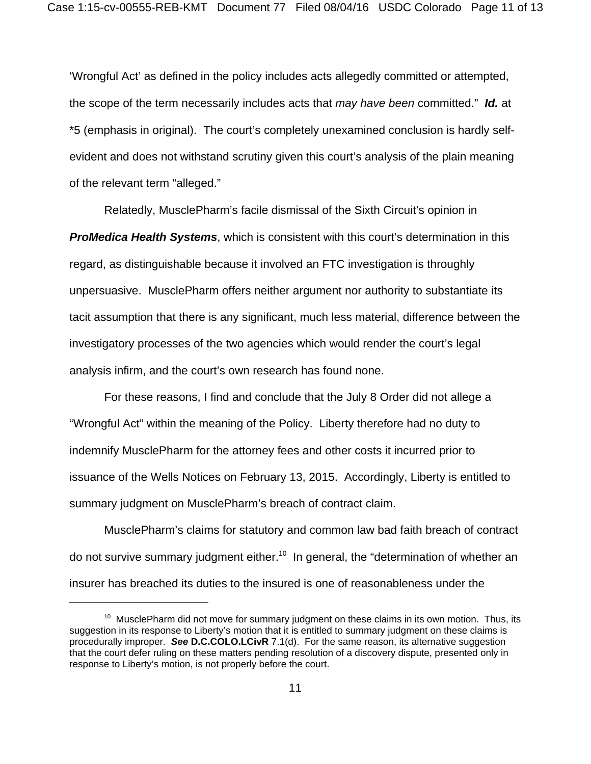'Wrongful Act' as defined in the policy includes acts allegedly committed or attempted, the scope of the term necessarily includes acts that *may have been* committed." *Id.* at \*5 (emphasis in original). The court's completely unexamined conclusion is hardly selfevident and does not withstand scrutiny given this court's analysis of the plain meaning of the relevant term "alleged."

Relatedly, MusclePharm's facile dismissal of the Sixth Circuit's opinion in *ProMedica Health Systems*, which is consistent with this court's determination in this regard, as distinguishable because it involved an FTC investigation is throughly unpersuasive. MusclePharm offers neither argument nor authority to substantiate its tacit assumption that there is any significant, much less material, difference between the investigatory processes of the two agencies which would render the court's legal analysis infirm, and the court's own research has found none.

For these reasons, I find and conclude that the July 8 Order did not allege a "Wrongful Act" within the meaning of the Policy. Liberty therefore had no duty to indemnify MusclePharm for the attorney fees and other costs it incurred prior to issuance of the Wells Notices on February 13, 2015. Accordingly, Liberty is entitled to summary judgment on MusclePharm's breach of contract claim.

MusclePharm's claims for statutory and common law bad faith breach of contract do not survive summary judgment either.<sup>10</sup> In general, the "determination of whether an insurer has breached its duties to the insured is one of reasonableness under the

 $10$  MusclePharm did not move for summary judgment on these claims in its own motion. Thus, its suggestion in its response to Liberty's motion that it is entitled to summary judgment on these claims is procedurally improper. *See* **D.C.COLO.LCivR** 7.1(d). For the same reason, its alternative suggestion that the court defer ruling on these matters pending resolution of a discovery dispute, presented only in response to Liberty's motion, is not properly before the court.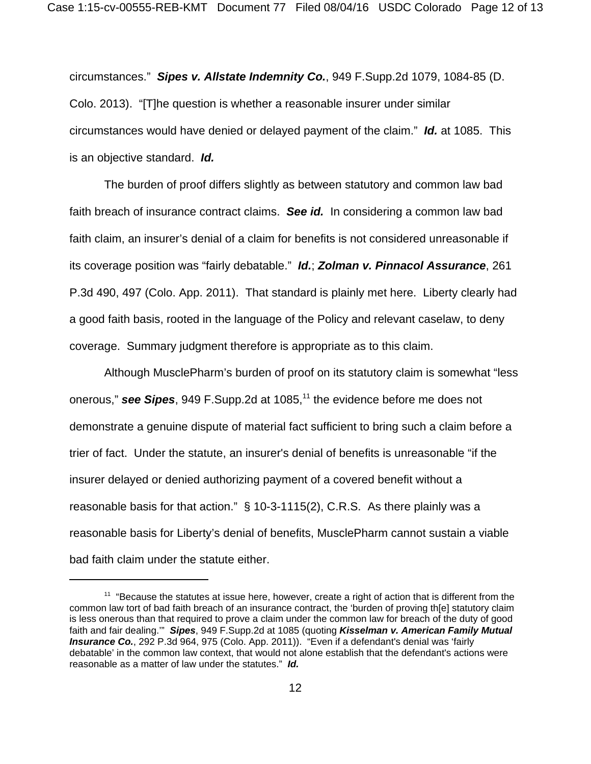circumstances." *Sipes v. Allstate Indemnity Co.*, 949 F.Supp.2d 1079, 1084-85 (D. Colo. 2013). "[T]he question is whether a reasonable insurer under similar circumstances would have denied or delayed payment of the claim." *Id.* at 1085. This is an objective standard. *Id.*

The burden of proof differs slightly as between statutory and common law bad faith breach of insurance contract claims. *See id.* In considering a common law bad faith claim, an insurer's denial of a claim for benefits is not considered unreasonable if its coverage position was "fairly debatable." *Id.*; *Zolman v. Pinnacol Assurance*, 261 P.3d 490, 497 (Colo. App. 2011). That standard is plainly met here. Liberty clearly had a good faith basis, rooted in the language of the Policy and relevant caselaw, to deny coverage. Summary judgment therefore is appropriate as to this claim.

Although MusclePharm's burden of proof on its statutory claim is somewhat "less onerous," **see Sipes**, 949 F.Supp.2d at 1085,<sup>11</sup> the evidence before me does not demonstrate a genuine dispute of material fact sufficient to bring such a claim before a trier of fact. Under the statute, an insurer's denial of benefits is unreasonable "if the insurer delayed or denied authorizing payment of a covered benefit without a reasonable basis for that action." § 10-3-1115(2), C.R.S. As there plainly was a reasonable basis for Liberty's denial of benefits, MusclePharm cannot sustain a viable bad faith claim under the statute either.

 $11$  "Because the statutes at issue here, however, create a right of action that is different from the common law tort of bad faith breach of an insurance contract, the 'burden of proving th[e] statutory claim is less onerous than that required to prove a claim under the common law for breach of the duty of good faith and fair dealing.'" *Sipes*, 949 F.Supp.2d at 1085 (quoting *Kisselman v. American Family Mutual Insurance Co.*, 292 P.3d 964, 975 (Colo. App. 2011)). "Even if a defendant's denial was 'fairly debatable' in the common law context, that would not alone establish that the defendant's actions were reasonable as a matter of law under the statutes." *Id.*